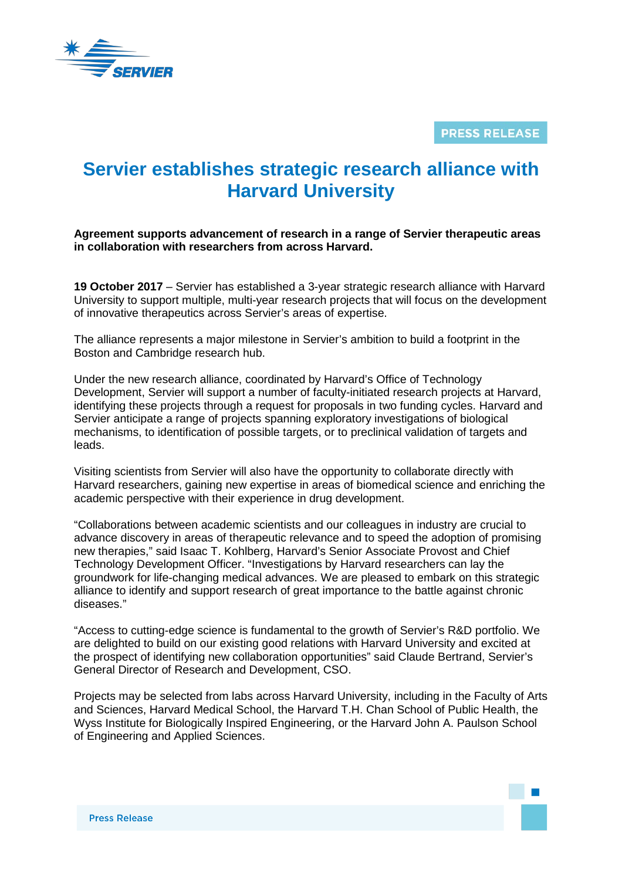

**PRESS RELEASE** 

## **Servier establishes strategic research alliance with Harvard University**

**Agreement supports advancement of research in a range of Servier therapeutic areas in collaboration with researchers from across Harvard.**

**19 October 2017** – Servier has established a 3-year strategic research alliance with Harvard University to support multiple, multi-year research projects that will focus on the development of innovative therapeutics across Servier's areas of expertise.

The alliance represents a major milestone in Servier's ambition to build a footprint in the Boston and Cambridge research hub.

Under the new research alliance, coordinated by Harvard's Office of Technology Development, Servier will support a number of faculty-initiated research projects at Harvard, identifying these projects through a request for proposals in two funding cycles. Harvard and Servier anticipate a range of projects spanning exploratory investigations of biological mechanisms, to identification of possible targets, or to preclinical validation of targets and leads.

Visiting scientists from Servier will also have the opportunity to collaborate directly with Harvard researchers, gaining new expertise in areas of biomedical science and enriching the academic perspective with their experience in drug development.

"Collaborations between academic scientists and our colleagues in industry are crucial to advance discovery in areas of therapeutic relevance and to speed the adoption of promising new therapies," said Isaac T. Kohlberg, Harvard's Senior Associate Provost and Chief Technology Development Officer. "Investigations by Harvard researchers can lay the groundwork for life-changing medical advances. We are pleased to embark on this strategic alliance to identify and support research of great importance to the battle against chronic diseases."

"Access to cutting-edge science is fundamental to the growth of Servier's R&D portfolio. We are delighted to build on our existing good relations with Harvard University and excited at the prospect of identifying new collaboration opportunities" said Claude Bertrand, Servier's General Director of Research and Development, CSO.

Projects may be selected from labs across Harvard University, including in the Faculty of Arts and Sciences, Harvard Medical School, the Harvard T.H. Chan School of Public Health, the Wyss Institute for Biologically Inspired Engineering, or the Harvard John A. Paulson School of Engineering and Applied Sciences.